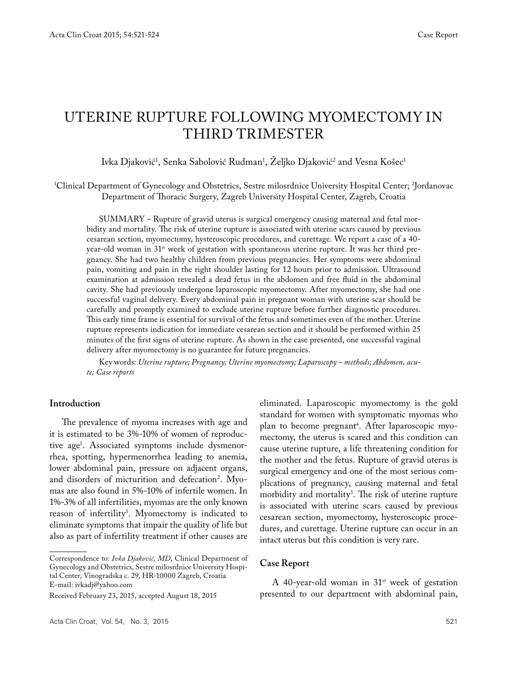# UTERINE RUPTURE FOLLOWING MYOMECTOMY IN THIRD TRIMESTER

lvka Djaković<sup>1</sup>, Senka Sabolović Rudman<sup>1</sup>, Zeljko Djaković<sup>2</sup> and Vesna Košec<sup>1</sup>

1 Clinical Department of Gynecology and Obstetrics, Sestre milosrdnice University Hospital Center; 2 Jordanovac Department of Thoracic Surgery, Zagreb University Hospital Center, Zagreb, Croatia

SUMMARY – Rupture of gravid uterus is surgical emergency causing maternal and fetal morbidity and mortality. The risk of uterine rupture is associated with uterine scars caused by previous cesarean section, myomectomy, hysteroscopic procedures, and curettage. We report a case of a 40 year-old woman in 31<sup>st</sup> week of gestation with spontaneous uterine rupture. It was her third pregnancy. She had two healthy children from previous pregnancies. Her symptoms were abdominal pain, vomiting and pain in the right shoulder lasting for 12 hours prior to admission. Ultrasound examination at admission revealed a dead fetus in the abdomen and free fluid in the abdominal cavity. She had previously undergone laparoscopic myomectomy. After myomectomy, she had one successful vaginal delivery. Every abdominal pain in pregnant woman with uterine scar should be carefully and promptly examined to exclude uterine rupture before further diagnostic procedures. This early time frame is essential for survival of the fetus and sometimes even of the mother. Uterine rupture represents indication for immediate cesarean section and it should be performed within 25 minutes of the first signs of uterine rupture. As shown in the case presented, one successful vaginal delivery after myomectomy is no guarantee for future pregnancies.

Key words: *Uterine rupture; Pregnancy; Uterine myomectomy; Laparoscopy – methods; Abdomen, acute; Case reports*

## **Introduction**

The prevalence of myoma increases with age and it is estimated to be 3%-10% of women of reproductive age1 . Associated symptoms include dysmenorrhea, spotting, hypermenorrhea leading to anemia, lower abdominal pain, pressure on adjacent organs, and disorders of micturition and defecation<sup>2</sup>. Myomas are also found in 5%-10% of infertile women. In 1%-3% of all infertilities, myomas are the only known reason of infertility3 . Myomectomy is indicated to eliminate symptoms that impair the quality of life but also as part of infertility treatment if other causes are

Correspondence to: *Ivka Djaković, MD*, Clinical Department of Gynecology and Obstetrics, Sestre milosrdnice University Hospital Center, Vinogradska c. 29, HR-10000 Zagreb, Croatia E-mail: ivkadj@yahoo.com

eliminated. Laparoscopic myomectomy is the gold standard for women with symptomatic myomas who plan to become pregnant<sup>4</sup>. After laparoscopic myomectomy, the uterus is scared and this condition can cause uterine rupture, a life threatening condition for the mother and the fetus. Rupture of gravid uterus is surgical emergency and one of the most serious complications of pregnancy, causing maternal and fetal morbidity and mortality<sup>5</sup>. The risk of uterine rupture is associated with uterine scars caused by previous cesarean section, myomectomy, hysteroscopic procedures, and curettage. Uterine rupture can occur in an intact uterus but this condition is very rare.

#### **Case Report**

A 40-year-old woman in  $31<sup>st</sup>$  week of gestation presented to our department with abdominal pain,

Received February 23, 2015, accepted August 18, 2015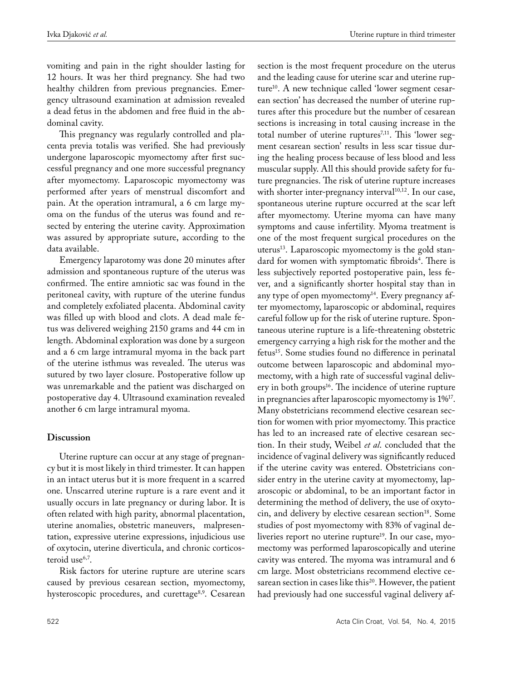vomiting and pain in the right shoulder lasting for 12 hours. It was her third pregnancy. She had two healthy children from previous pregnancies. Emergency ultrasound examination at admission revealed a dead fetus in the abdomen and free fluid in the abdominal cavity.

This pregnancy was regularly controlled and placenta previa totalis was verified. She had previously undergone laparoscopic myomectomy after first successful pregnancy and one more successful pregnancy after myomectomy. Laparoscopic myomectomy was performed after years of menstrual discomfort and pain. At the operation intramural, a 6 cm large myoma on the fundus of the uterus was found and resected by entering the uterine cavity. Approximation was assured by appropriate suture, according to the data available.

Emergency laparotomy was done 20 minutes after admission and spontaneous rupture of the uterus was confirmed. The entire amniotic sac was found in the peritoneal cavity, with rupture of the uterine fundus and completely exfoliated placenta. Abdominal cavity was filled up with blood and clots. A dead male fetus was delivered weighing 2150 grams and 44 cm in length. Abdominal exploration was done by a surgeon and a 6 cm large intramural myoma in the back part of the uterine isthmus was revealed. The uterus was sutured by two layer closure. Postoperative follow up was unremarkable and the patient was discharged on postoperative day 4. Ultrasound examination revealed another 6 cm large intramural myoma.

## **Discussion**

Uterine rupture can occur at any stage of pregnancy but it is most likely in third trimester. It can happen in an intact uterus but it is more frequent in a scarred one. Unscarred uterine rupture is a rare event and it usually occurs in late pregnancy or during labor. It is often related with high parity, abnormal placentation, uterine anomalies, obstetric maneuvers, malpresentation, expressive uterine expressions, injudicious use of oxytocin, uterine diverticula, and chronic corticosteroid use<sup>6,7</sup>.

Risk factors for uterine rupture are uterine scars caused by previous cesarean section, myomectomy, hysteroscopic procedures, and curettage<sup>8,9</sup>. Cesarean

section is the most frequent procedure on the uterus and the leading cause for uterine scar and uterine rupture<sup>10</sup>. A new technique called 'lower segment cesarean section' has decreased the number of uterine ruptures after this procedure but the number of cesarean sections is increasing in total causing increase in the total number of uterine ruptures<sup>7,11</sup>. This 'lower segment cesarean section' results in less scar tissue during the healing process because of less blood and less muscular supply. All this should provide safety for future pregnancies. The risk of uterine rupture increases with shorter inter-pregnancy interval<sup>10,12</sup>. In our case, spontaneous uterine rupture occurred at the scar left after myomectomy. Uterine myoma can have many symptoms and cause infertility. Myoma treatment is one of the most frequent surgical procedures on the uterus<sup>13</sup>. Laparoscopic myomectomy is the gold standard for women with symptomatic fibroids<sup>4</sup>. There is less subjectively reported postoperative pain, less fever, and a significantly shorter hospital stay than in any type of open myomectomy<sup>14</sup>. Every pregnancy after myomectomy, laparoscopic or abdominal, requires careful follow up for the risk of uterine rupture. Spontaneous uterine rupture is a life-threatening obstetric emergency carrying a high risk for the mother and the fetus15. Some studies found no difference in perinatal outcome between laparoscopic and abdominal myomectomy, with a high rate of successful vaginal delivery in both groups<sup>16</sup>. The incidence of uterine rupture in pregnancies after laparoscopic myomectomy is 1%17. Many obstetricians recommend elective cesarean section for women with prior myomectomy. This practice has led to an increased rate of elective cesarean section. In their study, Weibel *et al*. concluded that the incidence of vaginal delivery was significantly reduced if the uterine cavity was entered. Obstetricians consider entry in the uterine cavity at myomectomy, laparoscopic or abdominal, to be an important factor in determining the method of delivery, the use of oxytocin, and delivery by elective cesarean section<sup>18</sup>. Some studies of post myomectomy with 83% of vaginal deliveries report no uterine rupture<sup>19</sup>. In our case, myomectomy was performed laparoscopically and uterine cavity was entered. The myoma was intramural and 6 cm large. Most obstetricians recommend elective cesarean section in cases like this<sup>20</sup>. However, the patient had previously had one successful vaginal delivery af-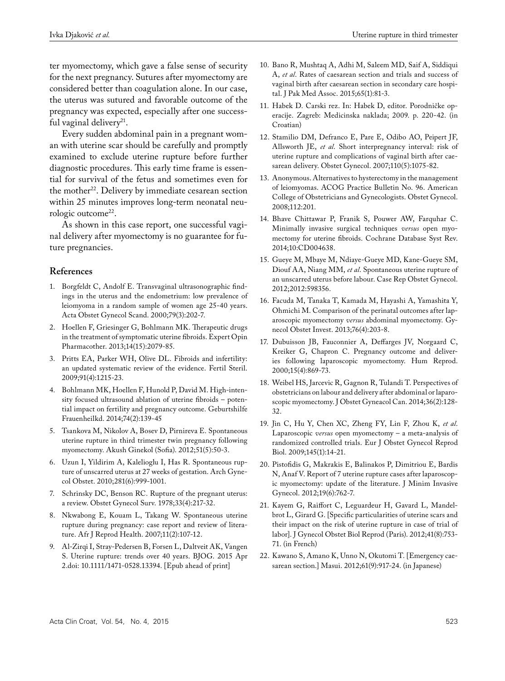ter myomectomy, which gave a false sense of security for the next pregnancy. Sutures after myomectomy are considered better than coagulation alone. In our case, the uterus was sutured and favorable outcome of the pregnancy was expected, especially after one successful vaginal delivery<sup>21</sup>.

Every sudden abdominal pain in a pregnant woman with uterine scar should be carefully and promptly examined to exclude uterine rupture before further diagnostic procedures. This early time frame is essential for survival of the fetus and sometimes even for the mother<sup>22</sup>. Delivery by immediate cesarean section within 25 minutes improves long-term neonatal neurologic outcome<sup>22</sup>.

As shown in this case report, one successful vaginal delivery after myomectomy is no guarantee for future pregnancies.

### **References**

- 1. Borgfeldt C, Andolf E. Transvaginal ultrasonographic findings in the uterus and the endometrium: low prevalence of leiomyoma in a random sample of women age 25-40 years. Acta Obstet Gynecol Scand. 2000;79(3):202-7.
- 2. Hoellen F, Griesinger G, Bohlmann MK. Therapeutic drugs in the treatment of symptomatic uterine fibroids. Expert Opin Pharmacother. 2013;14(15):2079-85.
- 3. Pritts EA, Parker WH, Olive DL. Fibroids and infertility: an updated systematic review of the evidence. Fertil Steril. 2009;91(4):1215-23.
- 4. Bohlmann MK, Hoellen F, Hunold P, David M. High-intensity focused ultrasound ablation of uterine fibroids – potential impact on fertility and pregnancy outcome. Geburtshilfe Frauenheilkd. 2014;74(2):139-45
- 5. Tsankova M, Nikolov A, Bosev D, Pirnireva E. Spontaneous uterine rupture in third trimester twin pregnancy following myomectomy. Akush Ginekol (Sofia). 2012;51(5):50-3.
- 6. Uzun I, Yildirim A, Kalelioglu I, Has R. Spontaneous rupture of unscarred uterus at 27 weeks of gestation. Arch Gynecol Obstet. 2010;281(6):999-1001.
- 7. Schrinsky DC, Benson RC. Rupture of the pregnant uterus: a review. Obstet Gynecol Surv. 1978;33(4):217-32.
- 8. Nkwabong E, Kouam L, Takang W. Spontaneous uterine rupture during pregnancy: case report and review of literature. Afr J Reprod Health. 2007;11(2):107-12.
- 9. Al-Zirqi I, Stray-Pedersen B, Forsen L, Daltveit AK, Vangen S. Uterine rupture: trends over 40 years. BJOG. 2015 Apr 2.doi: 10.1111/1471-0528.13394. [Epub ahead of print]
- 10. Bano R, Mushtaq A, Adhi M, Saleem MD, Saif A, Siddiqui A, *et al*. Rates of caesarean section and trials and success of vaginal birth after caesarean section in secondary care hospital. J Pak Med Assoc. 2015;65(1):81-3.
- 11. Habek D. Carski rez. In: Habek D, editor. Porodničke operacije. Zagreb: Medicinska naklada; 2009. p. 220-42. (in Croatian)
- 12. Stamilio DM, Defranco E, Pare E, Odibo AO, Peipert JF, Allsworth JE, *et al*. Short interpregnancy interval: risk of uterine rupture and complications of vaginal birth after caesarean delivery. Obstet Gynecol. 2007;110(5):1075-82.
- 13. Anonymous. Alternatives to hysterectomy in the management of leiomyomas. ACOG Practice Bulletin No. 96. American College of Obstetricians and Gynecologists. Obstet Gynecol. 2008;112:201.
- 14. Bhave Chittawar P, Franik S, Pouwer AW, Farquhar C. Minimally invasive surgical techniques *versus* open myomectomy for uterine fibroids. Cochrane Database Syst Rev. 2014;10:CD004638.
- 15. Gueye M, Mbaye M, Ndiaye-Gueye MD, Kane-Gueye SM, Diouf AA, Niang MM, *et al*. Spontaneous uterine rupture of an unscarred uterus before labour. Case Rep Obstet Gynecol. 2012;2012:598356.
- 16. Facuda M, Tanaka T, Kamada M, Hayashi A, Yamashita Y, Ohmichi M. Comparison of the perinatal outcomes after laparoscopic myomectomy *versus* abdominal myomectomy. Gynecol Obstet Invest. 2013;76(4):203-8.
- 17. Dubuisson JB, Fauconnier A, Deffarges JV, Norgaard C, Kreiker G, Chapron C. Pregnancy outcome and deliveries following laparoscopic myomectomy. Hum Reprod. 2000;15(4):869-73.
- 18. Weibel HS, Jarcevic R, Gagnon R, Tulandi T. Perspectives of obstetricians on labour and delivery after abdominal or laparoscopic myomectomy. J Obstet Gyneacol Can. 2014;36(2):128- 32.
- 19. Jin C, Hu Y, Chen XC, Zheng FY, Lin F, Zhou K, *et al*. Laparoscopic *versus* open myomectomy – a meta-analysis of randomized controlled trials. Eur J Obstet Gynecol Reprod Biol. 2009;145(1):14-21.
- 20. Pistofidis G, Makrakis E, Balinakos P, Dimitriou E, Bardis N, Anaf V. Report of 7 uterine rupture cases after laparoscopic myomectomy: update of the literature. J Minim Invasive Gynecol. 2012;19(6):762-7.
- 21. Kayem G, Raiffort C, Leguardeur H, Gavard L, Mandelbrot L, Girard G. [Specific particularities of uterine scars and their impact on the risk of uterine rupture in case of trial of labor]. J Gynecol Obstet Biol Reprod (Paris). 2012;41(8):753- 71. (in French)
- 22. Kawano S, Amano K, Unno N, Okutomi T. [Emergency caesarean section.] Masui. 2012;61(9):917-24. (in Japanese)